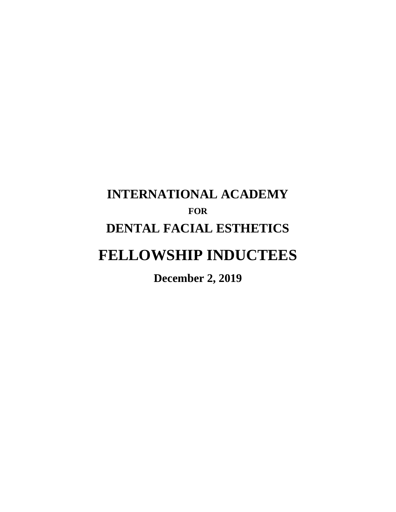# **INTERNATIONAL ACADEMY FOR DENTAL FACIAL ESTHETICS FELLOWSHIP INDUCTEES**

**December 2, 2019**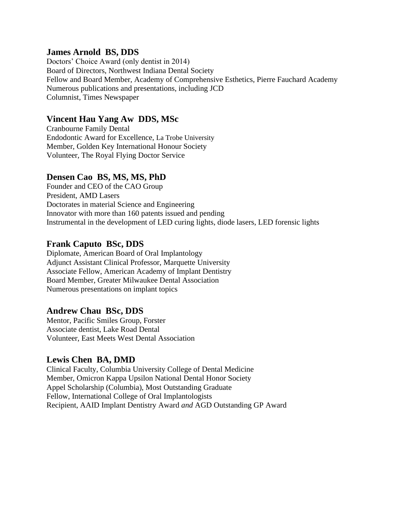#### **James Arnold BS, DDS**

Doctors' Choice Award (only dentist in 2014) Board of Directors, Northwest Indiana Dental Society Fellow and Board Member, Academy of Comprehensive Esthetics, Pierre Fauchard Academy Numerous publications and presentations, including JCD Columnist, Times Newspaper

#### **Vincent Hau Yang Aw DDS, MSc**

Cranbourne Family Dental Endodontic Award for Excellence, La Trobe University Member, Golden Key International Honour Society Volunteer, The Royal Flying Doctor Service

#### **Densen Cao BS, MS, MS, PhD**

Founder and CEO of the CAO Group President, AMD Lasers Doctorates in material Science and Engineering Innovator with more than 160 patents issued and pending Instrumental in the development of LED curing lights, diode lasers, LED forensic lights

#### **Frank Caputo BSc, DDS**

Diplomate, American Board of Oral Implantology Adjunct Assistant Clinical Professor, Marquette University Associate Fellow, American Academy of Implant Dentistry Board Member, Greater Milwaukee Dental Association Numerous presentations on implant topics

#### **Andrew Chau BSc, DDS**

Mentor, Pacific Smiles Group, Forster Associate dentist, Lake Road Dental Volunteer, East Meets West Dental Association

#### **Lewis Chen BA, DMD**

Clinical Faculty, Columbia University College of Dental Medicine Member, Omicron Kappa Upsilon National Dental Honor Society Appel Scholarship (Columbia), Most Outstanding Graduate Fellow, International College of Oral Implantologists Recipient, AAID Implant Dentistry Award *and* AGD Outstanding GP Award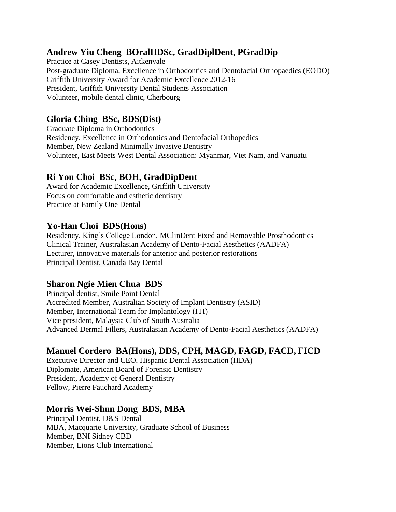# **Andrew Yiu Cheng BOralHDSc, GradDiplDent, PGradDip**

Practice at Casey Dentists, Aitkenvale Post-graduate Diploma, Excellence in Orthodontics and Dentofacial Orthopaedics (EODO) Griffith University Award for Academic Excellence 2012-16 President, Griffith University Dental Students Association Volunteer, mobile dental clinic, Cherbourg

# **Gloria Ching BSc, BDS(Dist)**

Graduate Diploma in Orthodontics Residency, Excellence in Orthodontics and Dentofacial Orthopedics Member, New Zealand Minimally Invasive Dentistry Volunteer, East Meets West Dental Association: Myanmar, Viet Nam, and Vanuatu

# **Ri Yon Choi BSc, BOH, GradDipDent**

Award for Academic Excellence, Griffith University Focus on comfortable and esthetic dentistry Practice at Family One Dental

#### **Yo-Han Choi BDS(Hons)**

Residency, King's College London, MClinDent Fixed and Removable Prosthodontics Clinical Trainer, Australasian Academy of Dento-Facial Aesthetics (AADFA) Lecturer, innovative materials for anterior and posterior restorations Principal Dentist, Canada Bay Dental

#### **Sharon Ngie Mien Chua BDS**

Principal dentist, Smile Point Dental Accredited Member, Australian Society of Implant Dentistry (ASID) Member, International Team for Implantology (ITI) Vice president, Malaysia Club of South Australia Advanced Dermal Fillers, Australasian Academy of Dento-Facial Aesthetics (AADFA)

# **Manuel Cordero BA(Hons), DDS, CPH, MAGD, FAGD, FACD, FICD**

Executive Director and CEO, Hispanic Dental Association (HDA) Diplomate, American Board of Forensic Dentistry President, Academy of General Dentistry Fellow, Pierre Fauchard Academy

#### **Morris Wei-Shun Dong BDS, MBA**

Principal Dentist, D&S Dental MBA, Macquarie University, Graduate School of Business Member, BNI Sidney CBD Member, Lions Club International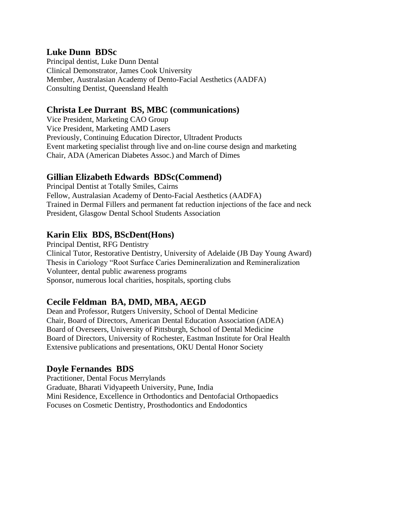#### **Luke Dunn BDSc**

Principal dentist, Luke Dunn Dental Clinical Demonstrator, James Cook University Member, Australasian Academy of Dento-Facial Aesthetics (AADFA) Consulting Dentist, Queensland Health

#### **Christa Lee Durrant BS, MBC (communications)**

Vice President, Marketing CAO Group Vice President, Marketing AMD Lasers Previously, Continuing Education Director, Ultradent Products Event marketing specialist through live and on-line course design and marketing Chair, ADA (American Diabetes Assoc.) and March of Dimes

#### **Gillian Elizabeth Edwards BDSc(Commend)**

Principal Dentist at Totally Smiles, Cairns Fellow, Australasian Academy of Dento-Facial Aesthetics (AADFA) Trained in Dermal Fillers and permanent fat reduction injections of the face and neck President, Glasgow Dental School Students Association

# **Karin Elix BDS, BScDent(Hons)**

Principal Dentist, RFG Dentistry Clinical Tutor, Restorative Dentistry, University of Adelaide (JB Day Young Award) Thesis in Cariology "Root Surface Caries Demineralization and Remineralization Volunteer, dental public awareness programs Sponsor, numerous local charities, hospitals, sporting clubs

# **Cecile Feldman BA, DMD, MBA, AEGD**

Dean and Professor, Rutgers University, School of Dental Medicine Chair, Board of Directors, American Dental Education Association (ADEA) Board of Overseers, University of Pittsburgh, School of Dental Medicine Board of Directors, University of Rochester, Eastman Institute for Oral Health Extensive publications and presentations, OKU Dental Honor Society

#### **Doyle Fernandes BDS**

Practitioner, Dental Focus Merrylands Graduate, Bharati Vidyapeeth University, Pune, India Mini Residence, Excellence in Orthodontics and Dentofacial Orthopaedics Focuses on Cosmetic Dentistry, Prosthodontics and Endodontics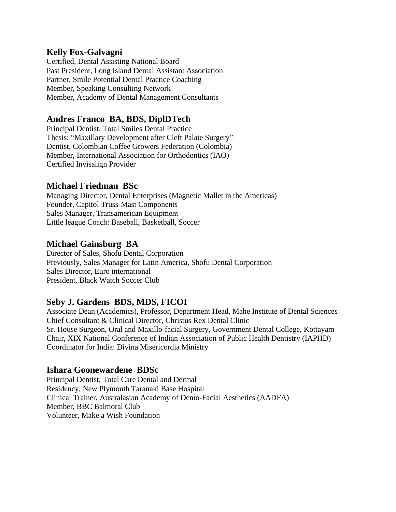#### **Kelly Fox-Galvagni**

Certified, Dental Assisting National Board Past President, Long Island Dental Assistant Association Partner, Smile Potential Dental Practice Coaching Member, Speaking Consulting Network Member, Academy of Dental Management Consultants

# **Andres Franco BA, BDS, DiplDTech**

Principal Dentist, Total Smiles Dental Practice Thesis: "Maxillary Development after Cleft Palate Surgery" Dentist, Colombian Coffee Growers Federation (Colombia) Member, International Association for Orthodontics (IAO) Certified Invisalign Provider

#### **Michael Friedman BSc**

Managing Director, Dental Enterprises (Magnetic Mallet in the Americas) Founder, Capitol Truss-Mast Components Sales Manager, Transamerican Equipment Little league Coach: Baseball, Basketball, Soccer

#### **Michael Gainsburg BA**

Director of Sales, Shofu Dental Corporation Previously, Sales Manager for Latin America, Shofu Dental Corporation Sales Director, Euro international President, Black Watch Soccer Club

#### **Seby J. Gardens BDS, MDS, FICOI**

Associate Dean (Academics), Professor, Department Head, Mahe Institute of Dental Sciences Chief Consultant & Clinical Director, Christus Rex Dental Clinic Sr. House Surgeon, Oral and Maxillo-facial Surgery, Government Dental College, Kottayam Chair, XIX National Conference of Indian Association of Public Health Dentistry (IAPHD) Coordinator for India: Divina Misericordia Ministry

#### **Ishara Goonewardene BDSc**

Principal Dentist, Total Care Dental and Dermal Residency, New Plymouth Taranaki Base Hospital Clinical Trainer, Australasian Academy of Dento-Facial Aesthetics (AADFA) Member, BBC Balmoral Club Volunteer, Make a Wish Foundation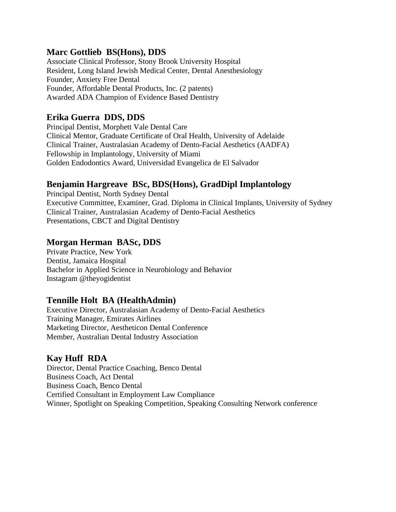#### **Marc Gottlieb BS(Hons), DDS**

Associate Clinical Professor, Stony Brook University Hospital Resident, Long Island Jewish Medical Center, Dental Anesthesiology Founder, Anxiety Free Dental Founder, Affordable Dental Products, Inc. (2 patents) Awarded ADA Champion of Evidence Based Dentistry

#### **Erika Guerra DDS, DDS**

Principal Dentist, Morphett Vale Dental Care Clinical Mentor, Graduate Certificate of Oral Health, University of Adelaide Clinical Trainer, Australasian Academy of Dento-Facial Aesthetics (AADFA) Fellowship in Implantology, University of Miami Golden Endodontics Award, Universidad Evangelica de El Salvador

# **Benjamin Hargreave BSc, BDS(Hons), GradDipl Implantology**

Principal Dentist, North Sydney Dental Executive Committee, Examiner, Grad. Diploma in Clinical Implants, University of Sydney Clinical Trainer, Australasian Academy of Dento-Facial Aesthetics Presentations, CBCT and Digital Dentistry

#### **Morgan Herman BASc, DDS**

Private Practice, New York Dentist, Jamaica Hospital Bachelor in Applied Science in Neurobiology and Behavior Instagram @theyogidentist

#### **Tennille Holt BA (HealthAdmin)**

Executive Director, Australasian Academy of Dento-Facial Aesthetics Training Manager, Emirates Airlines Marketing Director, Aestheticon Dental Conference Member, Australian Dental Industry Association

# **Kay Huff RDA**

Director, Dental Practice Coaching, Benco Dental Business Coach, Act Dental Business Coach, Benco Dental Certified Consultant in Employment Law Compliance Winner, Spotlight on Speaking Competition, Speaking Consulting Network conference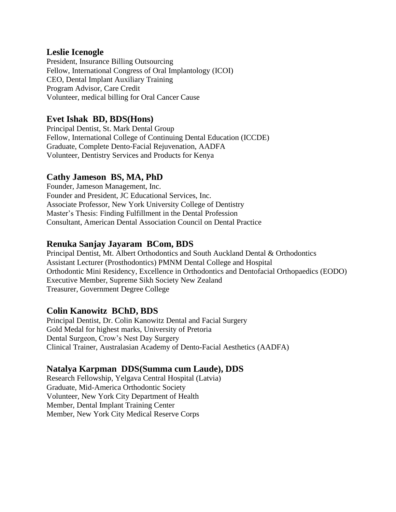#### **Leslie Icenogle**

President, Insurance Billing Outsourcing Fellow, International Congress of Oral Implantology (ICOI) CEO, Dental Implant Auxiliary Training Program Advisor, Care Credit Volunteer, medical billing for Oral Cancer Cause

#### **Evet Ishak BD, BDS(Hons)**

Principal Dentist, St. Mark Dental Group Fellow, International College of Continuing Dental Education (ICCDE) Graduate, Complete Dento-Facial Rejuvenation, AADFA Volunteer, Dentistry Services and Products for Kenya

#### **Cathy Jameson BS, MA, PhD**

Founder, Jameson Management, Inc. Founder and President, JC Educational Services, Inc. Associate Professor, New York University College of Dentistry Master's Thesis: Finding Fulfillment in the Dental Profession Consultant, American Dental Association Council on Dental Practice

#### **Renuka Sanjay Jayaram BCom, BDS**

Principal Dentist, Mt. Albert Orthodontics and South Auckland Dental & Orthodontics Assistant Lecturer (Prosthodontics) PMNM Dental College and Hospital Orthodontic Mini Residency, Excellence in Orthodontics and Dentofacial Orthopaedics (EODO) Executive Member, Supreme Sikh Society New Zealand Treasurer, Government Degree College

#### **Colin Kanowitz BChD, BDS**

Principal Dentist, Dr. Colin Kanowitz Dental and Facial Surgery Gold Medal for highest marks, University of Pretoria Dental Surgeon, Crow's Nest Day Surgery Clinical Trainer, Australasian Academy of Dento-Facial Aesthetics (AADFA)

#### **Natalya Karpman DDS(Summa cum Laude), DDS**

Research Fellowship, Yelgava Central Hospital (Latvia) Graduate, Mid-America Orthodontic Society Volunteer, New York City Department of Health Member, Dental Implant Training Center Member, New York City Medical Reserve Corps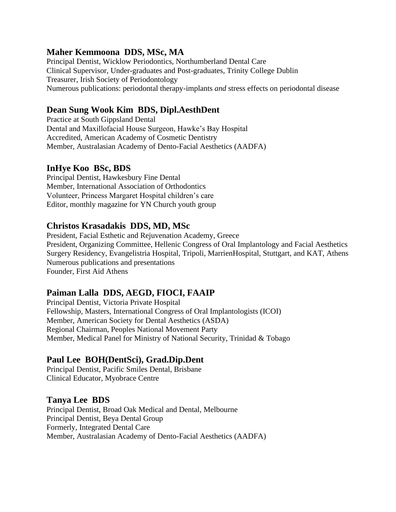#### **Maher Kemmoona DDS, MSc, MA**

Principal Dentist, Wicklow Periodontics, Northumberland Dental Care Clinical Supervisor, Under-graduates and Post-graduates, Trinity College Dublin Treasurer, Irish Society of Periodontology Numerous publications: periodontal therapy-implants *and* stress effects on periodontal disease

# **Dean Sung Wook Kim BDS, Dipl.AesthDent**

Practice at South Gippsland Dental Dental and Maxillofacial House Surgeon, Hawke's Bay Hospital Accredited, American Academy of Cosmetic Dentistry Member, Australasian Academy of Dento-Facial Aesthetics (AADFA)

# **InHye Koo BSc, BDS**

Principal Dentist, Hawkesbury Fine Dental Member, International Association of Orthodontics Volunteer, Princess Margaret Hospital children's care Editor, monthly magazine for YN Church youth group

#### **Christos Krasadakis DDS, MD, MSc**

President, Facial Esthetic and Rejuvenation Academy, Greece President, Organizing Committee, Hellenic Congress of Oral Implantology and Facial Aesthetics Surgery Residency, Evangelistria Hospital, Tripoli, MarrienHospital, Stuttgart, and KAT, Athens Numerous publications and presentations Founder, First Aid Athens

#### **Paiman Lalla DDS, AEGD, FIOCI, FAAIP**

Principal Dentist, Victoria Private Hospital Fellowship, Masters, International Congress of Oral Implantologists (ICOI) Member, American Society for Dental Aesthetics (ASDA) Regional Chairman, Peoples National Movement Party Member, Medical Panel for Ministry of National Security, Trinidad & Tobago

#### **Paul Lee BOH(DentSci), Grad.Dip.Dent**

Principal Dentist, Pacific Smiles Dental, Brisbane Clinical Educator, Myobrace Centre

#### **Tanya Lee BDS**

Principal Dentist, Broad Oak Medical and Dental, Melbourne Principal Dentist, Beya Dental Group Formerly, Integrated Dental Care Member, Australasian Academy of Dento-Facial Aesthetics (AADFA)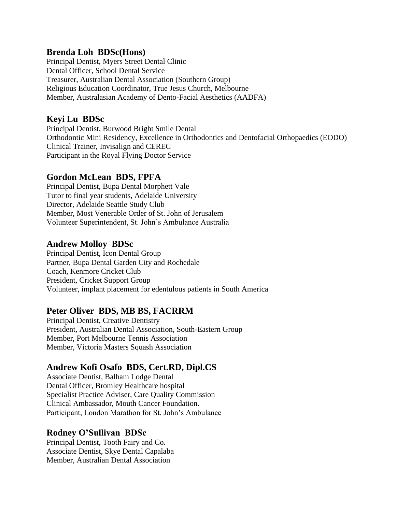#### **Brenda Loh BDSc(Hons)**

Principal Dentist, Myers Street Dental Clinic Dental Officer, School Dental Service Treasurer, Australian Dental Association (Southern Group) Religious Education Coordinator, True Jesus Church, Melbourne Member, Australasian Academy of Dento-Facial Aesthetics (AADFA)

# **Keyi Lu BDSc**

Principal Dentist, Burwood Bright Smile Dental Orthodontic Mini Residency, Excellence in Orthodontics and Dentofacial Orthopaedics (EODO) Clinical Trainer, Invisalign and CEREC Participant in the Royal Flying Doctor Service

# **Gordon McLean BDS, FPFA**

Principal Dentist, Bupa Dental Morphett Vale Tutor to final year students, Adelaide University Director, Adelaide Seattle Study Club Member, Most Venerable Order of St. John of Jerusalem Volunteer Superintendent, St. John's Ambulance Australia

#### **Andrew Molloy BDSc**

Principal Dentist, Icon Dental Group Partner, Bupa Dental Garden City and Rochedale Coach, Kenmore Cricket Club President, Cricket Support Group Volunteer, implant placement for edentulous patients in South America

#### **Peter Oliver BDS, MB BS, FACRRM**

Principal Dentist, Creative Dentistry President, Australian Dental Association, South-Eastern Group Member, Port Melbourne Tennis Association Member, Victoria Masters Squash Association

# **Andrew Kofi Osafo BDS, Cert.RD, Dipl.CS**

Associate Dentist, Balham Lodge Dental Dental Officer, Bromley Healthcare hospital Specialist Practice Adviser, Care Quality Commission Clinical Ambassador, Mouth Cancer Foundation. Participant, London Marathon for St. John's Ambulance

#### **Rodney O'Sullivan BDSc**

Principal Dentist, Tooth Fairy and Co. Associate Dentist, Skye Dental Capalaba Member, Australian Dental Association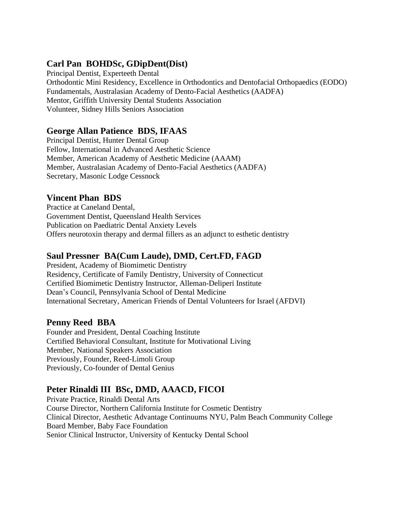# **Carl Pan BOHDSc, GDipDent(Dist)**

Principal Dentist, Experteeth Dental Orthodontic Mini Residency, Excellence in Orthodontics and Dentofacial Orthopaedics (EODO) Fundamentals, Australasian Academy of Dento-Facial Aesthetics (AADFA) Mentor, Griffith University Dental Students Association Volunteer, Sidney Hills Seniors Association

# **George Allan Patience BDS, IFAAS**

Principal Dentist, Hunter Dental Group Fellow, International in Advanced Aesthetic Science Member, American Academy of Aesthetic Medicine (AAAM) Member, Australasian Academy of Dento-Facial Aesthetics (AADFA) Secretary, Masonic Lodge Cessnock

# **Vincent Phan BDS**

Practice at Caneland Dental, Government Dentist, Queensland Health Services Publication on Paediatric Dental Anxiety Levels Offers neurotoxin therapy and dermal fillers as an adjunct to esthetic dentistry

# **Saul Pressner BA(Cum Laude), DMD, Cert.FD, FAGD**

President, Academy of Biomimetic Dentistry Residency, Certificate of Family Dentistry, University of Connecticut Certified Biomimetic Dentistry Instructor, Alleman-Deliperi Institute Dean's Council, Pennsylvania School of Dental Medicine International Secretary, American Friends of Dental Volunteers for Israel (AFDVI)

#### **Penny Reed BBA**

Founder and President, Dental Coaching Institute Certified Behavioral Consultant, Institute for Motivational Living Member, National Speakers Association Previously, Founder, Reed-Limoli Group Previously, Co-founder of Dental Genius

# **Peter Rinaldi III BSc, DMD, AAACD, FICOI**

Private Practice, Rinaldi Dental Arts Course Director, Northern California Institute for Cosmetic Dentistry Clinical Director, Aesthetic Advantage Continuums NYU, Palm Beach Community College Board Member, Baby Face Foundation Senior Clinical Instructor, University of Kentucky Dental School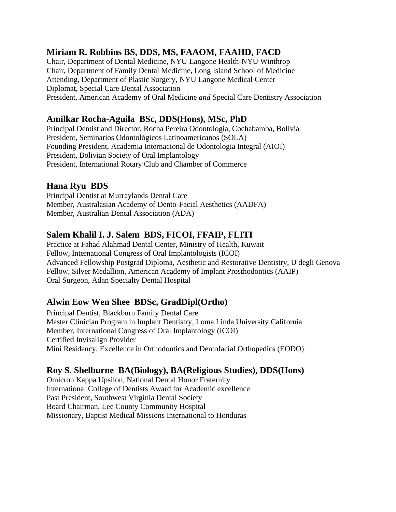# **Miriam R. Robbins BS, DDS, MS, FAAOM, FAAHD, FACD**

Chair, Department of Dental Medicine, NYU Langone Health-NYU Winthrop Chair, Department of Family Dental Medicine, Long Island School of Medicine Attending, Department of Plastic Surgery, NYU Langone Medical Center Diplomat, Special Care Dental Association President, American Academy of Oral Medicine *and* Special Care Dentistry Association

# **Amilkar Rocha-Aguila BSc, DDS(Hons), MSc, PhD**

Principal Dentist and Director, Rocha Pereira Odontologia, Cochabamba, Bolivia President, Seminarios Odontológicos Latinoamericanos (SOLA) Founding President, Academia Internacional de Odontologia Integral (AIOI) President, Bolivian Society of Oral Implantology President, International Rotary Club and Chamber of Commerce

#### **Hana Ryu BDS**

Principal Dentist at Murraylands Dental Care Member, Australasian Academy of Dento-Facial Aesthetics (AADFA) Member, Australian Dental Association (ADA)

# **Salem Khalil I. J. Salem BDS, FICOI, FFAIP, FLITI**

Practice at Fahad Alahmad Dental Center, Ministry of Health, Kuwait Fellow, International Congress of Oral Implantologists (ICOI) Advanced Fellowship Postgrad Diploma, Aesthetic and Restorative Dentistry, U degli Genova Fellow, Silver Medallion, American Academy of Implant Prosthodontics (AAIP) Oral Surgeon, Adan Specialty Dental Hospital

# **Alwin Eow Wen Shee BDSc, GradDipl(Ortho)**

Principal Dentist, Blackburn Family Dental Care Master Clinician Program in Implant Dentistry, Loma Linda University California Member, International Congress of Oral Implantology (ICOI) Certified Invisalign Provider Mini Residency, Excellence in Orthodontics and Dentofacial Orthopedics (EODO)

#### **Roy S. Shelburne BA(Biology), BA(Religious Studies), DDS(Hons)**

Omicron Kappa Upsilon, National Dental Honor Fraternity International College of Dentists Award for Academic excellence Past President, Southwest Virginia Dental Society Board Chairman, Lee County Community Hospital Missionary, Baptist Medical Missions International to Honduras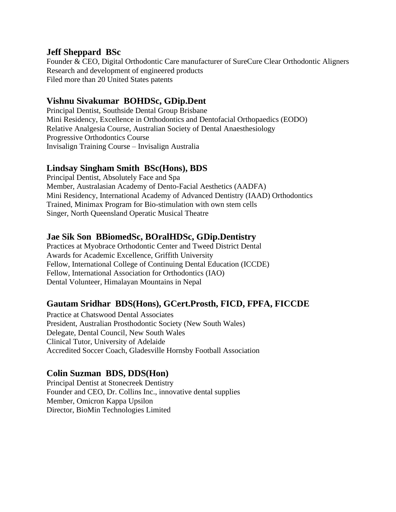#### **Jeff Sheppard BSc**

Founder & CEO, Digital Orthodontic Care manufacturer of SureCure Clear Orthodontic Aligners Research and development of engineered products Filed more than 20 United States patents

#### **Vishnu Sivakumar BOHDSc, GDip.Dent**

Principal Dentist, Southside Dental Group Brisbane Mini Residency, Excellence in Orthodontics and Dentofacial Orthopaedics (EODO) Relative Analgesia Course, Australian Society of Dental Anaesthesiology Progressive Orthodontics Course Invisalign Training Course – Invisalign Australia

# **Lindsay Singham Smith BSc(Hons), BDS**

Principal Dentist, Absolutely Face and Spa Member, Australasian Academy of Dento-Facial Aesthetics (AADFA) Mini Residency, International Academy of Advanced Dentistry (IAAD) Orthodontics Trained, Minimax Program for Bio-stimulation with own stem cells Singer, North Queensland Operatic Musical Theatre

#### **Jae Sik Son BBiomedSc, BOralHDSc, GDip.Dentistry**

Practices at Myobrace Orthodontic Center and Tweed District Dental Awards for Academic Excellence, Griffith University Fellow, International College of Continuing Dental Education (ICCDE) Fellow, International Association for Orthodontics (IAO) Dental Volunteer, Himalayan Mountains in Nepal

#### **Gautam Sridhar BDS(Hons), GCert.Prosth, FICD, FPFA, FICCDE**

Practice at Chatswood Dental Associates President, Australian Prosthodontic Society (New South Wales) Delegate, Dental Council, New South Wales Clinical Tutor, University of Adelaide Accredited Soccer Coach, Gladesville Hornsby Football Association

#### **Colin Suzman BDS, DDS(Hon)**

Principal Dentist at Stonecreek Dentistry Founder and CEO, Dr. Collins Inc., innovative dental supplies Member, Omicron Kappa Upsilon Director, BioMin Technologies Limited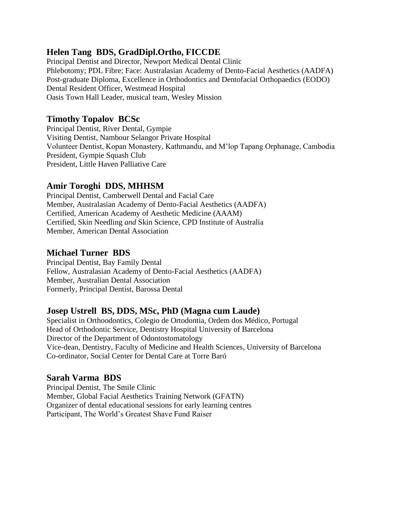# **Helen Tang BDS, GradDipl.Ortho, FICCDE**

Principal Dentist and Director, Newport Medical Dental Clinic Phlebotomy; PDL Fibre; Face: Australasian Academy of Dento-Facial Aesthetics (AADFA) Post-graduate Diploma, Excellence in Orthodontics and Dentofacial Orthopaedics (EODO) Dental Resident Officer, Westmead Hospital Oasis Town Hall Leader, musical team, Wesley Mission

# **Timothy Topalov BCSc**

Principal Dentist, River Dental, Gympie Visiting Dentist, Nambour Selangor Private Hospital Volunteer Dentist, Kopan Monastery, Kathmandu, and M'lop Tapang Orphanage, Cambodia President, Gympie Squash Club President, Little Haven Palliative Care

# **Amir Toroghi DDS, MHHSM**

Principal Dentist, Camberwell Dental and Facial Care Member, Australasian Academy of Dento-Facial Aesthetics (AADFA) Certified, American Academy of Aesthetic Medicine (AAAM) Certified, Skin Needling *and* Skin Science, CPD Institute of Australia Member, American Dental Association

# **Michael Turner BDS**

Principal Dentist, Bay Family Dental Fellow, Australasian Academy of Dento-Facial Aesthetics (AADFA) Member, Australian Dental Association Formerly, Principal Dentist, Barossa Dental

# **Josep Ustrell BS, DDS, MSc, PhD (Magna cum Laude)**

Specialist in Orthoodontics, Colegio de Ortodontia, Ordem dos Médico, Portugal Head of Orthodontic Service, Dentistry Hospital University of Barcelona Director of the Department of Odontostomatology Vice-dean, Dentistry, Faculty of Medicine and Health Sciences, University of Barcelona Co-ordinator, Social Center for Dental Care at Torre Baró

#### **Sarah Varma BDS**

Principal Dentist, The Smile Clinic Member, Global Facial Aesthetics Training Network (GFATN) Organizer of dental educational sessions for early learning centres Participant, The World's Greatest Shave Fund Raiser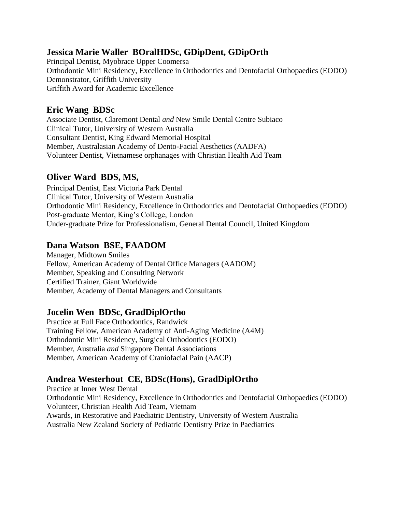# **Jessica Marie Waller BOralHDSc, GDipDent, GDipOrth**

Principal Dentist, Myobrace Upper Coomersa Orthodontic Mini Residency, Excellence in Orthodontics and Dentofacial Orthopaedics (EODO) Demonstrator, Griffith University Griffith Award for Academic Excellence

# **Eric Wang BDSc**

Associate Dentist, Claremont Dental *and* New Smile Dental Centre Subiaco Clinical Tutor, University of Western Australia Consultant Dentist, King Edward Memorial Hospital Member, Australasian Academy of Dento-Facial Aesthetics (AADFA) Volunteer Dentist, Vietnamese orphanages with Christian Health Aid Team

# **Oliver Ward BDS, MS,**

Principal Dentist, East Victoria Park Dental Clinical Tutor, University of Western Australia Orthodontic Mini Residency, Excellence in Orthodontics and Dentofacial Orthopaedics (EODO) Post-graduate Mentor, King's College, London Under-graduate Prize for Professionalism, General Dental Council, United Kingdom

# **Dana Watson BSE, FAADOM**

Manager, Midtown Smiles Fellow, American Academy of Dental Office Managers (AADOM) Member, Speaking and Consulting Network Certified Trainer, Giant Worldwide Member, Academy of Dental Managers and Consultants

# **Jocelin Wen BDSc, GradDiplOrtho**

Practice at Full Face Orthodontics, Randwick Training Fellow, American Academy of Anti-Aging Medicine (A4M) Orthodontic Mini Residency, Surgical Orthodontics (EODO) Member, Australia *and* Singapore Dental Associations Member, American Academy of Craniofacial Pain (AACP)

# **Andrea Westerhout CE, BDSc(Hons), GradDiplOrtho**

Practice at Inner West Dental Orthodontic Mini Residency, Excellence in Orthodontics and Dentofacial Orthopaedics (EODO) Volunteer, Christian Health Aid Team, Vietnam Awards, in Restorative and Paediatric Dentistry, University of Western Australia Australia New Zealand Society of Pediatric Dentistry Prize in Paediatrics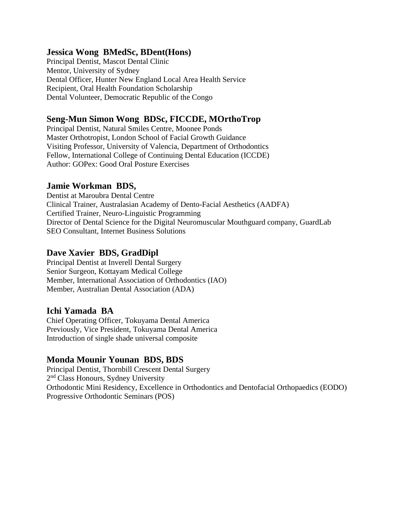#### **Jessica Wong BMedSc, BDent(Hons)**

Principal Dentist, Mascot Dental Clinic Mentor, University of Sydney Dental Officer, Hunter New England Local Area Health Service Recipient, Oral Health Foundation Scholarship Dental Volunteer, Democratic Republic of the Congo

#### **Seng-Mun Simon Wong BDSc, FICCDE, MOrthoTrop**

Principal Dentist, Natural Smiles Centre, Moonee Ponds Master Orthotropist, London School of Facial Growth Guidance Visiting Professor, University of Valencia, Department of Orthodontics Fellow, International College of Continuing Dental Education (ICCDE) Author: GOPex: Good Oral Posture Exercises

#### **Jamie Workman BDS,**

Dentist at Maroubra Dental Centre Clinical Trainer, Australasian Academy of Dento-Facial Aesthetics (AADFA) Certified Trainer, Neuro-Linguistic Programming Director of Dental Science for the Digital Neuromuscular Mouthguard company, GuardLab SEO Consultant, Internet Business Solutions

#### **Dave Xavier BDS, GradDipl**

Principal Dentist at Inverell Dental Surgery Senior Surgeon, Kottayam Medical College Member, International Association of Orthodontics (IAO) Member, Australian Dental Association (ADA)

#### **Ichi Yamada BA**

Chief Operating Officer, Tokuyama Dental America Previously, Vice President, Tokuyama Dental America Introduction of single shade universal composite

#### **Monda Mounir Younan BDS, BDS**

Principal Dentist, Thornbill Crescent Dental Surgery 2<sup>nd</sup> Class Honours, Sydney University Orthodontic Mini Residency, Excellence in Orthodontics and Dentofacial Orthopaedics (EODO) Progressive Orthodontic Seminars (POS)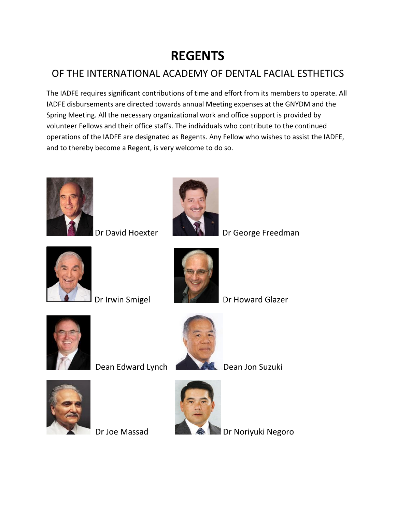# **REGENTS**

# OF THE INTERNATIONAL ACADEMY OF DENTAL FACIAL ESTHETICS

The IADFE requires significant contributions of time and effort from its members to operate. All IADFE disbursements are directed towards annual Meeting expenses at the GNYDM and the Spring Meeting. All the necessary organizational work and office support is provided by volunteer Fellows and their office staffs. The individuals who contribute to the continued operations of the IADFE are designated as Regents. Any Fellow who wishes to assist the IADFE, and to thereby become a Regent, is very welcome to do so.





Dr David Hoexter **Dr George Freedman** 





Dr Irwin Smigel Dr Howard Glazer



Dean Edward Lynch Dean Jon Suzuki







Dr Joe Massad **Dr Noriyuki Negoro**